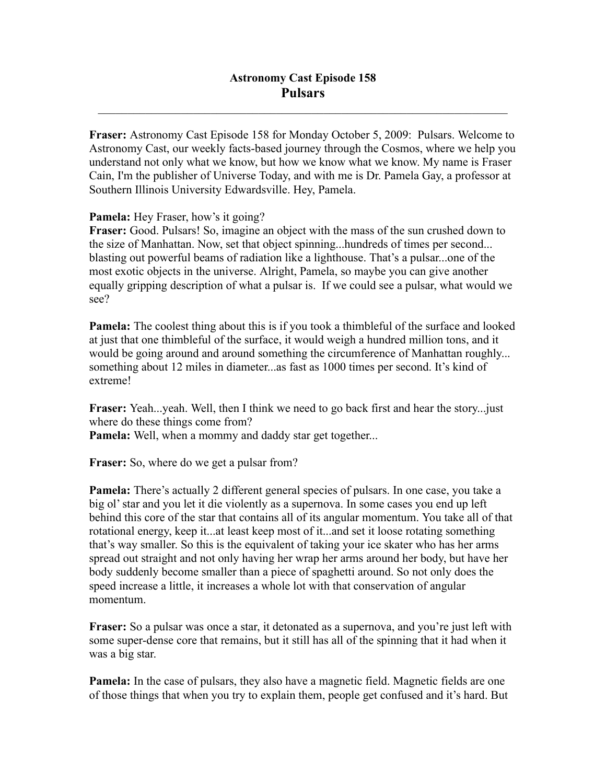$\mathcal{L}_\mathcal{L} = \mathcal{L}_\mathcal{L} = \mathcal{L}_\mathcal{L} = \mathcal{L}_\mathcal{L} = \mathcal{L}_\mathcal{L} = \mathcal{L}_\mathcal{L} = \mathcal{L}_\mathcal{L} = \mathcal{L}_\mathcal{L} = \mathcal{L}_\mathcal{L} = \mathcal{L}_\mathcal{L} = \mathcal{L}_\mathcal{L} = \mathcal{L}_\mathcal{L} = \mathcal{L}_\mathcal{L} = \mathcal{L}_\mathcal{L} = \mathcal{L}_\mathcal{L} = \mathcal{L}_\mathcal{L} = \mathcal{L}_\mathcal{L}$ 

**Fraser:** Astronomy Cast Episode 158 for Monday October 5, 2009: Pulsars. Welcome to Astronomy Cast, our weekly facts-based journey through the Cosmos, where we help you understand not only what we know, but how we know what we know. My name is Fraser Cain, I'm the publisher of Universe Today, and with me is Dr. Pamela Gay, a professor at Southern Illinois University Edwardsville. Hey, Pamela.

**Pamela:** Hey Fraser, how's it going?

**Fraser:** Good. Pulsars! So, imagine an object with the mass of the sun crushed down to the size of Manhattan. Now, set that object spinning...hundreds of times per second... blasting out powerful beams of radiation like a lighthouse. That's a pulsar...one of the most exotic objects in the universe. Alright, Pamela, so maybe you can give another equally gripping description of what a pulsar is. If we could see a pulsar, what would we see?

**Pamela:** The coolest thing about this is if you took a thimbleful of the surface and looked at just that one thimbleful of the surface, it would weigh a hundred million tons, and it would be going around and around something the circumference of Manhattan roughly... something about 12 miles in diameter...as fast as 1000 times per second. It's kind of extreme!

**Fraser:** Yeah...yeah. Well, then I think we need to go back first and hear the story...just where do these things come from?

Pamela: Well, when a mommy and daddy star get together...

**Fraser:** So, where do we get a pulsar from?

**Pamela:** There's actually 2 different general species of pulsars. In one case, you take a big ol' star and you let it die violently as a supernova. In some cases you end up left behind this core of the star that contains all of its angular momentum. You take all of that rotational energy, keep it...at least keep most of it...and set it loose rotating something that's way smaller. So this is the equivalent of taking your ice skater who has her arms spread out straight and not only having her wrap her arms around her body, but have her body suddenly become smaller than a piece of spaghetti around. So not only does the speed increase a little, it increases a whole lot with that conservation of angular momentum.

**Fraser:** So a pulsar was once a star, it detonated as a supernova, and you're just left with some super-dense core that remains, but it still has all of the spinning that it had when it was a big star.

**Pamela:** In the case of pulsars, they also have a magnetic field. Magnetic fields are one of those things that when you try to explain them, people get confused and it's hard. But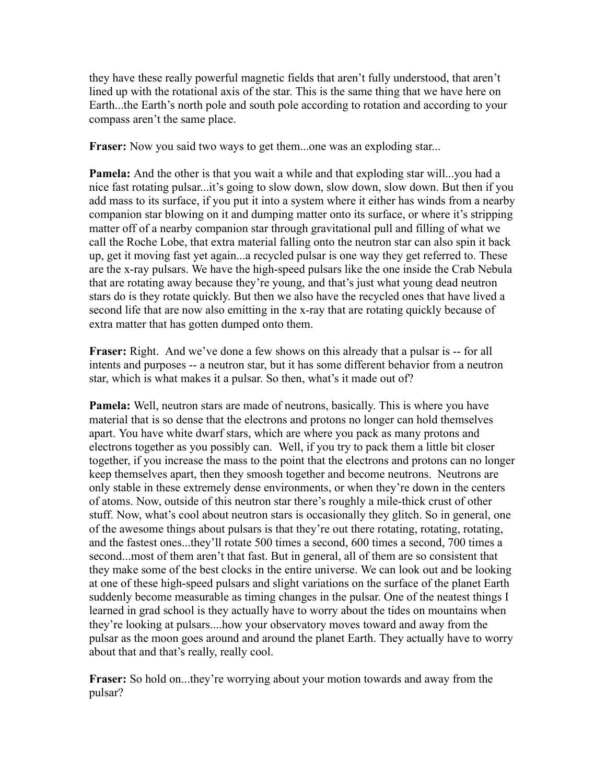they have these really powerful magnetic fields that aren't fully understood, that aren't lined up with the rotational axis of the star. This is the same thing that we have here on Earth...the Earth's north pole and south pole according to rotation and according to your compass aren't the same place.

**Fraser:** Now you said two ways to get them...one was an exploding star...

**Pamela:** And the other is that you wait a while and that exploding star will...you had a nice fast rotating pulsar...it's going to slow down, slow down, slow down. But then if you add mass to its surface, if you put it into a system where it either has winds from a nearby companion star blowing on it and dumping matter onto its surface, or where it's stripping matter off of a nearby companion star through gravitational pull and filling of what we call the Roche Lobe, that extra material falling onto the neutron star can also spin it back up, get it moving fast yet again...a recycled pulsar is one way they get referred to. These are the x-ray pulsars. We have the high-speed pulsars like the one inside the Crab Nebula that are rotating away because they're young, and that's just what young dead neutron stars do is they rotate quickly. But then we also have the recycled ones that have lived a second life that are now also emitting in the x-ray that are rotating quickly because of extra matter that has gotten dumped onto them.

**Fraser:** Right. And we've done a few shows on this already that a pulsar is -- for all intents and purposes -- a neutron star, but it has some different behavior from a neutron star, which is what makes it a pulsar. So then, what's it made out of?

**Pamela:** Well, neutron stars are made of neutrons, basically. This is where you have material that is so dense that the electrons and protons no longer can hold themselves apart. You have white dwarf stars, which are where you pack as many protons and electrons together as you possibly can. Well, if you try to pack them a little bit closer together, if you increase the mass to the point that the electrons and protons can no longer keep themselves apart, then they smoosh together and become neutrons. Neutrons are only stable in these extremely dense environments, or when they're down in the centers of atoms. Now, outside of this neutron star there's roughly a mile-thick crust of other stuff. Now, what's cool about neutron stars is occasionally they glitch. So in general, one of the awesome things about pulsars is that they're out there rotating, rotating, rotating, and the fastest ones...they'll rotate 500 times a second, 600 times a second, 700 times a second...most of them aren't that fast. But in general, all of them are so consistent that they make some of the best clocks in the entire universe. We can look out and be looking at one of these high-speed pulsars and slight variations on the surface of the planet Earth suddenly become measurable as timing changes in the pulsar. One of the neatest things I learned in grad school is they actually have to worry about the tides on mountains when they're looking at pulsars....how your observatory moves toward and away from the pulsar as the moon goes around and around the planet Earth. They actually have to worry about that and that's really, really cool.

**Fraser:** So hold on...they're worrying about your motion towards and away from the pulsar?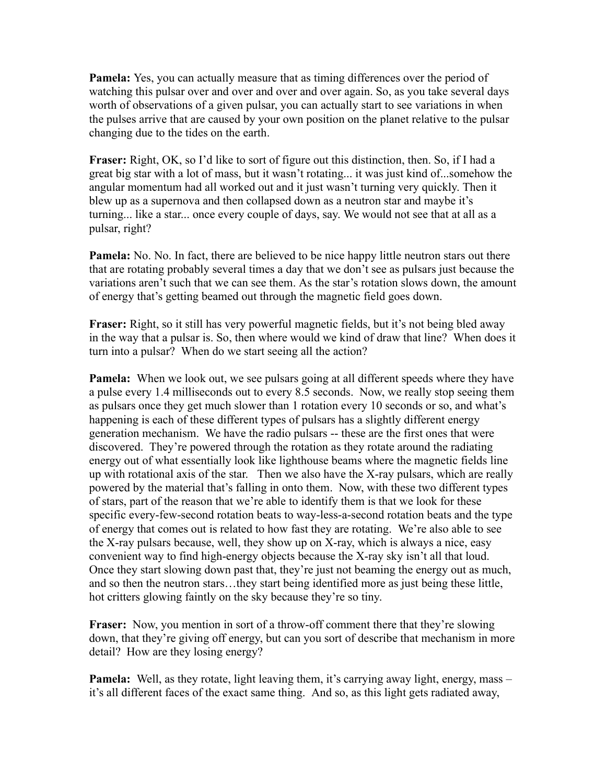**Pamela:** Yes, you can actually measure that as timing differences over the period of watching this pulsar over and over and over and over again. So, as you take several days worth of observations of a given pulsar, you can actually start to see variations in when the pulses arrive that are caused by your own position on the planet relative to the pulsar changing due to the tides on the earth.

**Fraser:** Right, OK, so I'd like to sort of figure out this distinction, then. So, if I had a great big star with a lot of mass, but it wasn't rotating... it was just kind of...somehow the angular momentum had all worked out and it just wasn't turning very quickly. Then it blew up as a supernova and then collapsed down as a neutron star and maybe it's turning... like a star... once every couple of days, say. We would not see that at all as a pulsar, right?

**Pamela:** No. No. In fact, there are believed to be nice happy little neutron stars out there that are rotating probably several times a day that we don't see as pulsars just because the variations aren't such that we can see them. As the star's rotation slows down, the amount of energy that's getting beamed out through the magnetic field goes down.

**Fraser:** Right, so it still has very powerful magnetic fields, but it's not being bled away in the way that a pulsar is. So, then where would we kind of draw that line? When does it turn into a pulsar? When do we start seeing all the action?

**Pamela:** When we look out, we see pulsars going at all different speeds where they have a pulse every 1.4 milliseconds out to every 8.5 seconds. Now, we really stop seeing them as pulsars once they get much slower than 1 rotation every 10 seconds or so, and what's happening is each of these different types of pulsars has a slightly different energy generation mechanism. We have the radio pulsars -- these are the first ones that were discovered. They're powered through the rotation as they rotate around the radiating energy out of what essentially look like lighthouse beams where the magnetic fields line up with rotational axis of the star. Then we also have the X-ray pulsars, which are really powered by the material that's falling in onto them. Now, with these two different types of stars, part of the reason that we're able to identify them is that we look for these specific every-few-second rotation beats to way-less-a-second rotation beats and the type of energy that comes out is related to how fast they are rotating. We're also able to see the X-ray pulsars because, well, they show up on X-ray, which is always a nice, easy convenient way to find high-energy objects because the X-ray sky isn't all that loud. Once they start slowing down past that, they're just not beaming the energy out as much, and so then the neutron stars…they start being identified more as just being these little, hot critters glowing faintly on the sky because they're so tiny.

**Fraser:** Now, you mention in sort of a throw-off comment there that they're slowing down, that they're giving off energy, but can you sort of describe that mechanism in more detail? How are they losing energy?

**Pamela:** Well, as they rotate, light leaving them, it's carrying away light, energy, mass – it's all different faces of the exact same thing. And so, as this light gets radiated away,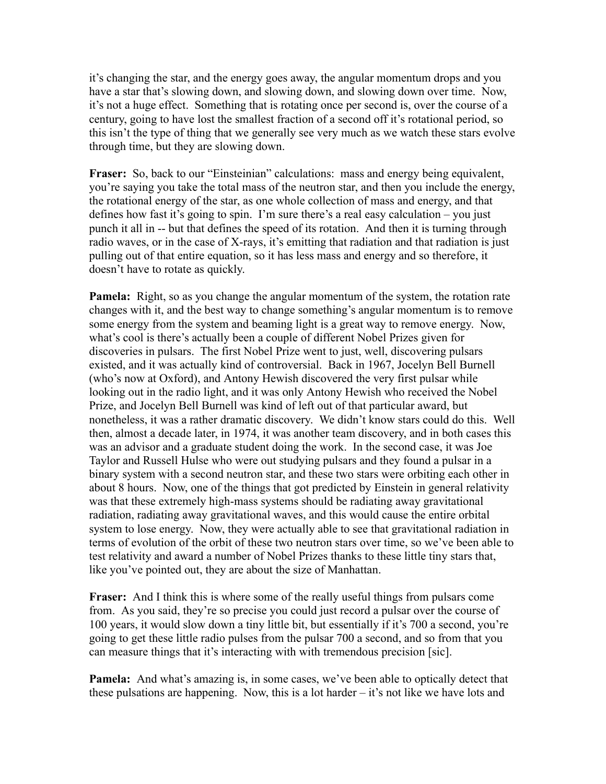it's changing the star, and the energy goes away, the angular momentum drops and you have a star that's slowing down, and slowing down, and slowing down over time. Now, it's not a huge effect. Something that is rotating once per second is, over the course of a century, going to have lost the smallest fraction of a second off it's rotational period, so this isn't the type of thing that we generally see very much as we watch these stars evolve through time, but they are slowing down.

**Fraser:** So, back to our "Einsteinian" calculations: mass and energy being equivalent, you're saying you take the total mass of the neutron star, and then you include the energy, the rotational energy of the star, as one whole collection of mass and energy, and that defines how fast it's going to spin. I'm sure there's a real easy calculation – you just punch it all in -- but that defines the speed of its rotation. And then it is turning through radio waves, or in the case of X-rays, it's emitting that radiation and that radiation is just pulling out of that entire equation, so it has less mass and energy and so therefore, it doesn't have to rotate as quickly.

**Pamela:** Right, so as you change the angular momentum of the system, the rotation rate changes with it, and the best way to change something's angular momentum is to remove some energy from the system and beaming light is a great way to remove energy. Now, what's cool is there's actually been a couple of different Nobel Prizes given for discoveries in pulsars. The first Nobel Prize went to just, well, discovering pulsars existed, and it was actually kind of controversial. Back in 1967, Jocelyn Bell Burnell (who's now at Oxford), and Antony Hewish discovered the very first pulsar while looking out in the radio light, and it was only Antony Hewish who received the Nobel Prize, and Jocelyn Bell Burnell was kind of left out of that particular award, but nonetheless, it was a rather dramatic discovery. We didn't know stars could do this. Well then, almost a decade later, in 1974, it was another team discovery, and in both cases this was an advisor and a graduate student doing the work. In the second case, it was Joe Taylor and Russell Hulse who were out studying pulsars and they found a pulsar in a binary system with a second neutron star, and these two stars were orbiting each other in about 8 hours. Now, one of the things that got predicted by Einstein in general relativity was that these extremely high-mass systems should be radiating away gravitational radiation, radiating away gravitational waves, and this would cause the entire orbital system to lose energy. Now, they were actually able to see that gravitational radiation in terms of evolution of the orbit of these two neutron stars over time, so we've been able to test relativity and award a number of Nobel Prizes thanks to these little tiny stars that, like you've pointed out, they are about the size of Manhattan.

**Fraser:** And I think this is where some of the really useful things from pulsars come from. As you said, they're so precise you could just record a pulsar over the course of 100 years, it would slow down a tiny little bit, but essentially if it's 700 a second, you're going to get these little radio pulses from the pulsar 700 a second, and so from that you can measure things that it's interacting with with tremendous precision [sic].

**Pamela:** And what's amazing is, in some cases, we've been able to optically detect that these pulsations are happening. Now, this is a lot harder – it's not like we have lots and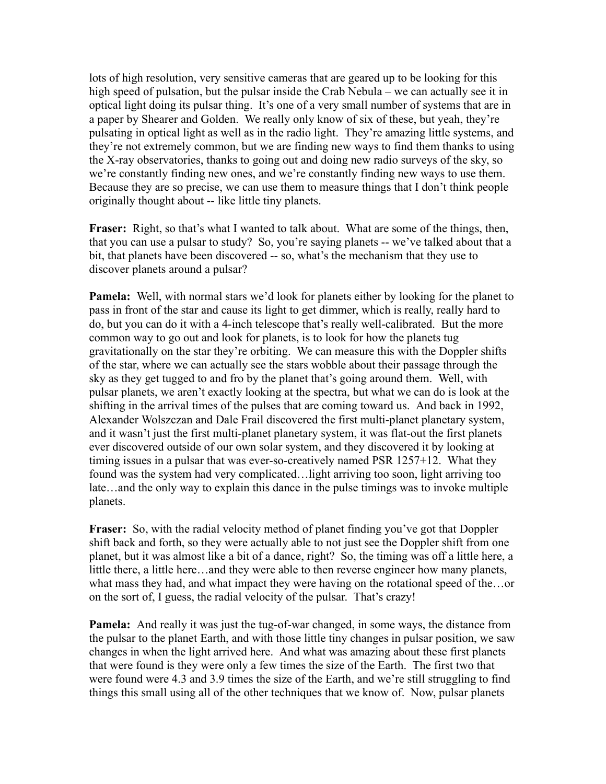lots of high resolution, very sensitive cameras that are geared up to be looking for this high speed of pulsation, but the pulsar inside the Crab Nebula – we can actually see it in optical light doing its pulsar thing. It's one of a very small number of systems that are in a paper by Shearer and Golden. We really only know of six of these, but yeah, they're pulsating in optical light as well as in the radio light. They're amazing little systems, and they're not extremely common, but we are finding new ways to find them thanks to using the X-ray observatories, thanks to going out and doing new radio surveys of the sky, so we're constantly finding new ones, and we're constantly finding new ways to use them. Because they are so precise, we can use them to measure things that I don't think people originally thought about -- like little tiny planets.

**Fraser:** Right, so that's what I wanted to talk about. What are some of the things, then, that you can use a pulsar to study? So, you're saying planets -- we've talked about that a bit, that planets have been discovered -- so, what's the mechanism that they use to discover planets around a pulsar?

**Pamela:** Well, with normal stars we'd look for planets either by looking for the planet to pass in front of the star and cause its light to get dimmer, which is really, really hard to do, but you can do it with a 4-inch telescope that's really well-calibrated. But the more common way to go out and look for planets, is to look for how the planets tug gravitationally on the star they're orbiting. We can measure this with the Doppler shifts of the star, where we can actually see the stars wobble about their passage through the sky as they get tugged to and fro by the planet that's going around them. Well, with pulsar planets, we aren't exactly looking at the spectra, but what we can do is look at the shifting in the arrival times of the pulses that are coming toward us. And back in 1992, Alexander Wolszczan and Dale Frail discovered the first multi-planet planetary system, and it wasn't just the first multi-planet planetary system, it was flat-out the first planets ever discovered outside of our own solar system, and they discovered it by looking at timing issues in a pulsar that was ever-so-creatively named PSR 1257+12. What they found was the system had very complicated…light arriving too soon, light arriving too late…and the only way to explain this dance in the pulse timings was to invoke multiple planets.

**Fraser:** So, with the radial velocity method of planet finding you've got that Doppler shift back and forth, so they were actually able to not just see the Doppler shift from one planet, but it was almost like a bit of a dance, right? So, the timing was off a little here, a little there, a little here…and they were able to then reverse engineer how many planets, what mass they had, and what impact they were having on the rotational speed of the…or on the sort of, I guess, the radial velocity of the pulsar. That's crazy!

**Pamela:** And really it was just the tug-of-war changed, in some ways, the distance from the pulsar to the planet Earth, and with those little tiny changes in pulsar position, we saw changes in when the light arrived here. And what was amazing about these first planets that were found is they were only a few times the size of the Earth. The first two that were found were 4.3 and 3.9 times the size of the Earth, and we're still struggling to find things this small using all of the other techniques that we know of. Now, pulsar planets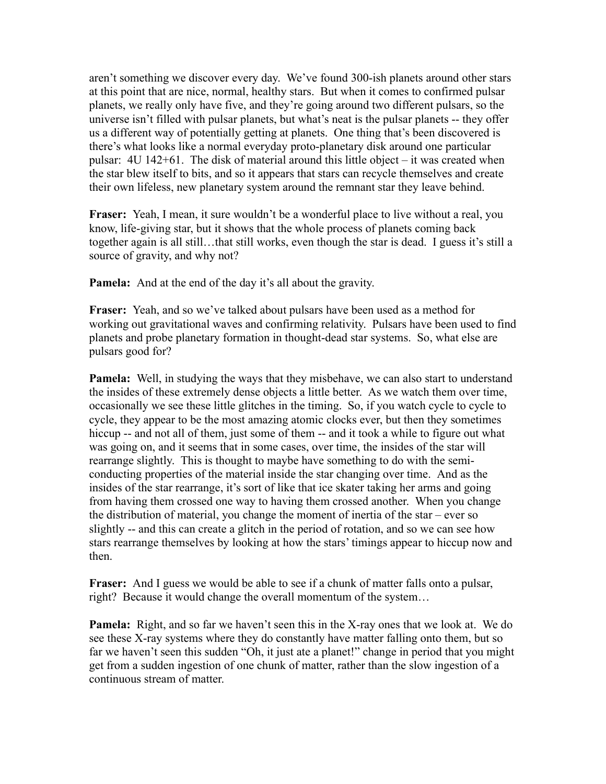aren't something we discover every day. We've found 300-ish planets around other stars at this point that are nice, normal, healthy stars. But when it comes to confirmed pulsar planets, we really only have five, and they're going around two different pulsars, so the universe isn't filled with pulsar planets, but what's neat is the pulsar planets -- they offer us a different way of potentially getting at planets. One thing that's been discovered is there's what looks like a normal everyday proto-planetary disk around one particular pulsar: 4U 142+61. The disk of material around this little object – it was created when the star blew itself to bits, and so it appears that stars can recycle themselves and create their own lifeless, new planetary system around the remnant star they leave behind.

**Fraser:** Yeah, I mean, it sure wouldn't be a wonderful place to live without a real, you know, life-giving star, but it shows that the whole process of planets coming back together again is all still…that still works, even though the star is dead. I guess it's still a source of gravity, and why not?

**Pamela:** And at the end of the day it's all about the gravity.

**Fraser:** Yeah, and so we've talked about pulsars have been used as a method for working out gravitational waves and confirming relativity. Pulsars have been used to find planets and probe planetary formation in thought-dead star systems. So, what else are pulsars good for?

**Pamela:** Well, in studying the ways that they misbehave, we can also start to understand the insides of these extremely dense objects a little better. As we watch them over time, occasionally we see these little glitches in the timing. So, if you watch cycle to cycle to cycle, they appear to be the most amazing atomic clocks ever, but then they sometimes hiccup -- and not all of them, just some of them -- and it took a while to figure out what was going on, and it seems that in some cases, over time, the insides of the star will rearrange slightly. This is thought to maybe have something to do with the semiconducting properties of the material inside the star changing over time. And as the insides of the star rearrange, it's sort of like that ice skater taking her arms and going from having them crossed one way to having them crossed another. When you change the distribution of material, you change the moment of inertia of the star – ever so slightly -- and this can create a glitch in the period of rotation, and so we can see how stars rearrange themselves by looking at how the stars' timings appear to hiccup now and then.

**Fraser:** And I guess we would be able to see if a chunk of matter falls onto a pulsar, right? Because it would change the overall momentum of the system…

**Pamela:** Right, and so far we haven't seen this in the X-ray ones that we look at. We do see these X-ray systems where they do constantly have matter falling onto them, but so far we haven't seen this sudden "Oh, it just ate a planet!" change in period that you might get from a sudden ingestion of one chunk of matter, rather than the slow ingestion of a continuous stream of matter.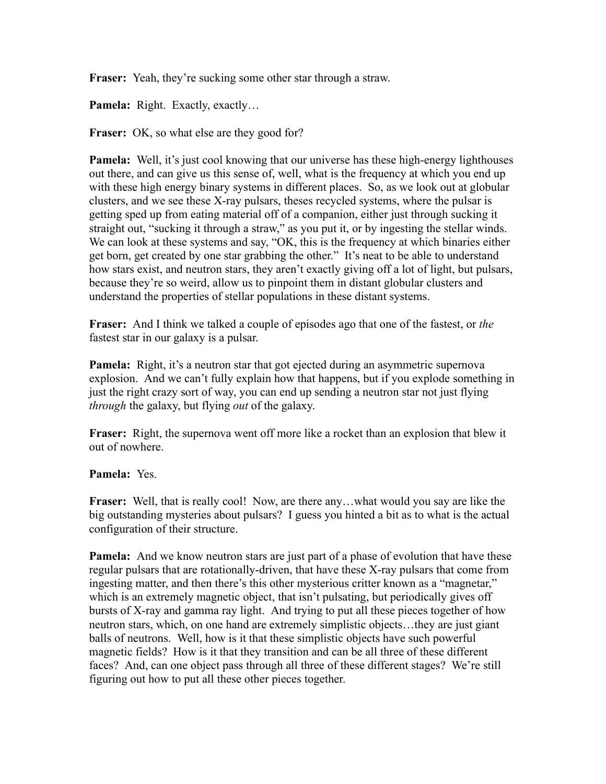**Fraser:** Yeah, they're sucking some other star through a straw.

Pamela: Right. Exactly, exactly...

**Fraser:** OK, so what else are they good for?

**Pamela:** Well, it's just cool knowing that our universe has these high-energy lighthouses out there, and can give us this sense of, well, what is the frequency at which you end up with these high energy binary systems in different places. So, as we look out at globular clusters, and we see these X-ray pulsars, theses recycled systems, where the pulsar is getting sped up from eating material off of a companion, either just through sucking it straight out, "sucking it through a straw," as you put it, or by ingesting the stellar winds. We can look at these systems and say, "OK, this is the frequency at which binaries either get born, get created by one star grabbing the other." It's neat to be able to understand how stars exist, and neutron stars, they aren't exactly giving off a lot of light, but pulsars, because they're so weird, allow us to pinpoint them in distant globular clusters and understand the properties of stellar populations in these distant systems.

**Fraser:** And I think we talked a couple of episodes ago that one of the fastest, or *the* fastest star in our galaxy is a pulsar.

**Pamela:** Right, it's a neutron star that got ejected during an asymmetric supernova explosion. And we can't fully explain how that happens, but if you explode something in just the right crazy sort of way, you can end up sending a neutron star not just flying *through* the galaxy, but flying *out* of the galaxy.

**Fraser:** Right, the supernova went off more like a rocket than an explosion that blew it out of nowhere.

## **Pamela:** Yes.

**Fraser:** Well, that is really cool! Now, are there any...what would you say are like the big outstanding mysteries about pulsars? I guess you hinted a bit as to what is the actual configuration of their structure.

**Pamela:** And we know neutron stars are just part of a phase of evolution that have these regular pulsars that are rotationally-driven, that have these X-ray pulsars that come from ingesting matter, and then there's this other mysterious critter known as a "magnetar," which is an extremely magnetic object, that isn't pulsating, but periodically gives off bursts of X-ray and gamma ray light. And trying to put all these pieces together of how neutron stars, which, on one hand are extremely simplistic objects…they are just giant balls of neutrons. Well, how is it that these simplistic objects have such powerful magnetic fields? How is it that they transition and can be all three of these different faces? And, can one object pass through all three of these different stages? We're still figuring out how to put all these other pieces together.